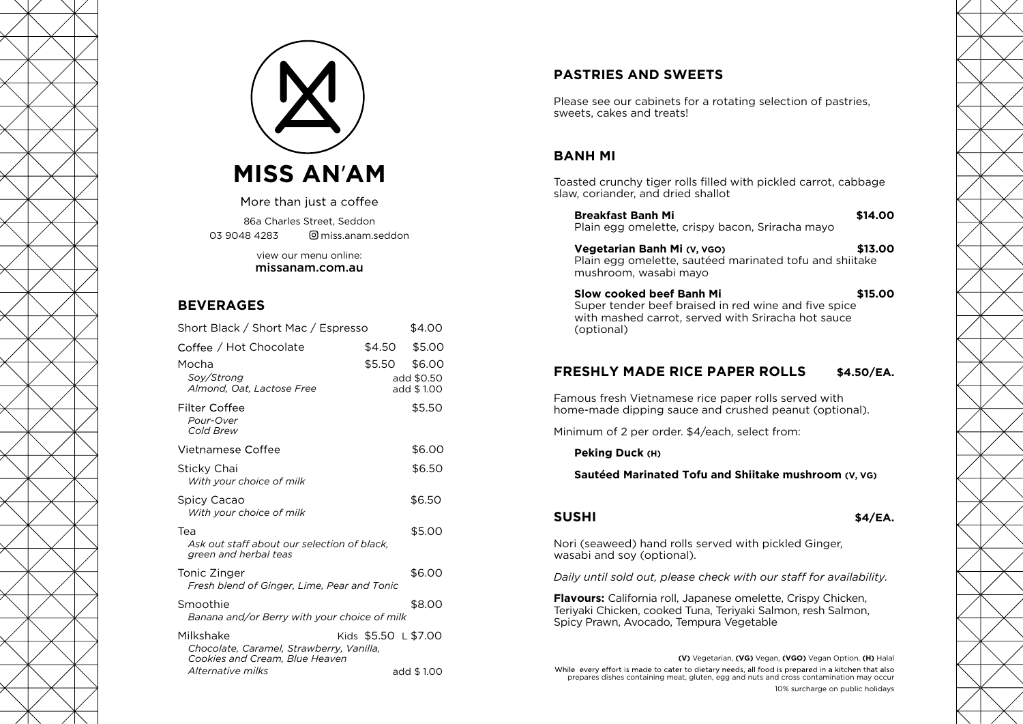



More than just a coffee

86a Charles Street, Seddon 03 9048 4283 miss.anam.seddon

> view our menu online: missanam.com.au

#### **BEVERAGES**

| Short Black / Short Mac / Espresso                                                      |                      | \$4.00                   |
|-----------------------------------------------------------------------------------------|----------------------|--------------------------|
| Coffee / Hot Chocolate                                                                  | \$4.50               | \$5.00                   |
| Mocha                                                                                   | \$5.50               | \$6.00                   |
| Soy/Strong<br>Almond, Oat, Lactose Free                                                 |                      | add \$0.50<br>add \$1.00 |
| Filter Coffee<br>Pour-Over<br>Cold Brew                                                 |                      | \$5.50                   |
| Vietnamese Coffee                                                                       |                      | \$6.00                   |
| Sticky Chai<br>With your choice of milk                                                 |                      | \$6.50                   |
| Spicy Cacao<br>With your choice of milk                                                 |                      | \$6.50                   |
| Tea<br>Ask out staff about our selection of black,<br>green and herbal teas             |                      | \$5.00                   |
| Tonic Zinger<br>Fresh blend of Ginger, Lime, Pear and Tonic                             |                      | \$6.00                   |
| Smoothie<br>Banana and/or Berry with your choice of milk                                |                      | \$8.00                   |
| Milkshake<br>Chocolate, Caramel, Strawberry, Vanilla,<br>Cookies and Cream, Blue Heaven | Kids \$5.50 L \$7.00 |                          |
| Alternative milks                                                                       |                      | add \$1.00               |

# **PASTRIES AND SWEETS**

Please see our cabinets for a rotating selection of pastries, sweets, cakes and treats!

## **BANH MI**

Toasted crunchy tiger rolls filled with pickled carrot, cabbage slaw, coriander, and dried shallot

| <b>Breakfast Banh Mi</b><br>Plain egg omelette, crispy bacon, Sriracha mayo                                                                                                     | \$14.00    |
|---------------------------------------------------------------------------------------------------------------------------------------------------------------------------------|------------|
| Vegetarian Banh Mi (V, VGO)<br>Plain egg omelette, sautéed marinated tofu and shiitake<br>mushroom, wasabi mayo                                                                 | \$13.00    |
| Slow cooked beef Banh Mi<br>Super tender beef braised in red wine and five spice<br>with mashed carrot, served with Sriracha hot sauce<br>(optional)                            | \$15.00    |
| <b>FRESHLY MADE RICE PAPER ROLLS</b>                                                                                                                                            | \$4.50/EA. |
| Famous fresh Vietnamese rice paper rolls served with<br>home-made dipping sauce and crushed peanut (optional).                                                                  |            |
| Minimum of 2 per order. \$4/each, select from:                                                                                                                                  |            |
| Peking Duck (H)                                                                                                                                                                 |            |
| Sautéed Marinated Tofu and Shiitake mushroom (V, VG)                                                                                                                            |            |
|                                                                                                                                                                                 |            |
| <b>SUSHI</b>                                                                                                                                                                    | \$4/EA.    |
| Nori (seaweed) hand rolls served with pickled Ginger,<br>wasabi and soy (optional).                                                                                             |            |
| Daily until sold out, please check with our staff for availability.                                                                                                             |            |
| <b>Flavours:</b> California roll, Japanese omelette, Crispy Chicken,<br>Teriyaki Chicken, cooked Tuna, Teriyaki Salmon, resh Salmon,<br>Spicy Prawn, Avocado, Tempura Vegetable |            |

**(V)** Vegetarian, **(VG)** Vegan, **(VGO)** Vegan Option, **(H)** Halal While every effort is made to cater to dietary needs, all food is prepared in a kitchen that also prepares dishes containing meat, gluten, egg and nuts and cross contamination may occur 10% surcharge on public holidays